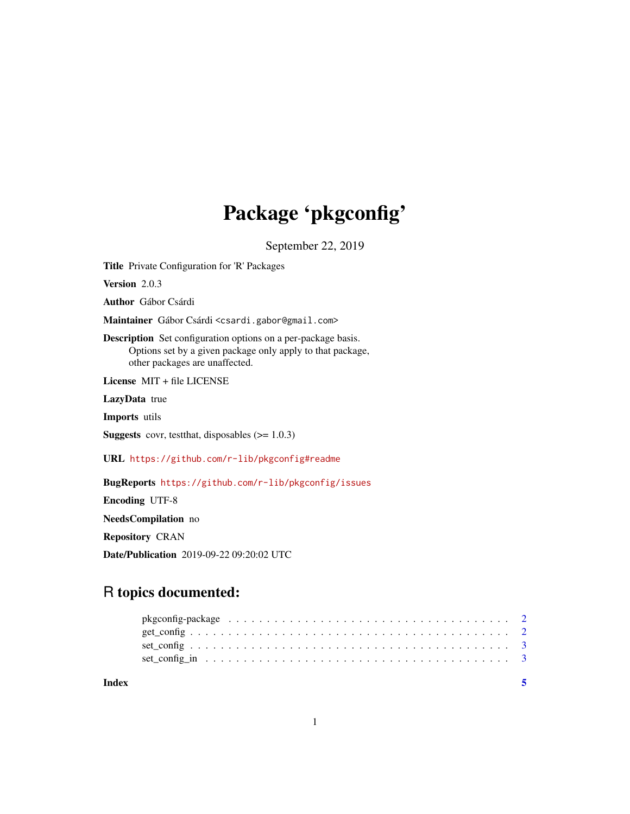## Package 'pkgconfig'

September 22, 2019

Title Private Configuration for 'R' Packages

Version 2.0.3

Author Gábor Csárdi

Maintainer Gábor Csárdi <csardi.gabor@gmail.com>

Description Set configuration options on a per-package basis. Options set by a given package only apply to that package, other packages are unaffected.

License MIT + file LICENSE

LazyData true

Imports utils

**Suggests** covr, test that, disposables  $(>= 1.0.3)$ 

URL <https://github.com/r-lib/pkgconfig#readme>

BugReports <https://github.com/r-lib/pkgconfig/issues>

Encoding UTF-8

NeedsCompilation no

Repository CRAN

Date/Publication 2019-09-22 09:20:02 UTC

### R topics documented:

| Index |                                                                                                                  |  |
|-------|------------------------------------------------------------------------------------------------------------------|--|
|       |                                                                                                                  |  |
|       |                                                                                                                  |  |
|       |                                                                                                                  |  |
|       | pkgconfig-package $\ldots \ldots \ldots \ldots \ldots \ldots \ldots \ldots \ldots \ldots \ldots \ldots \ldots 2$ |  |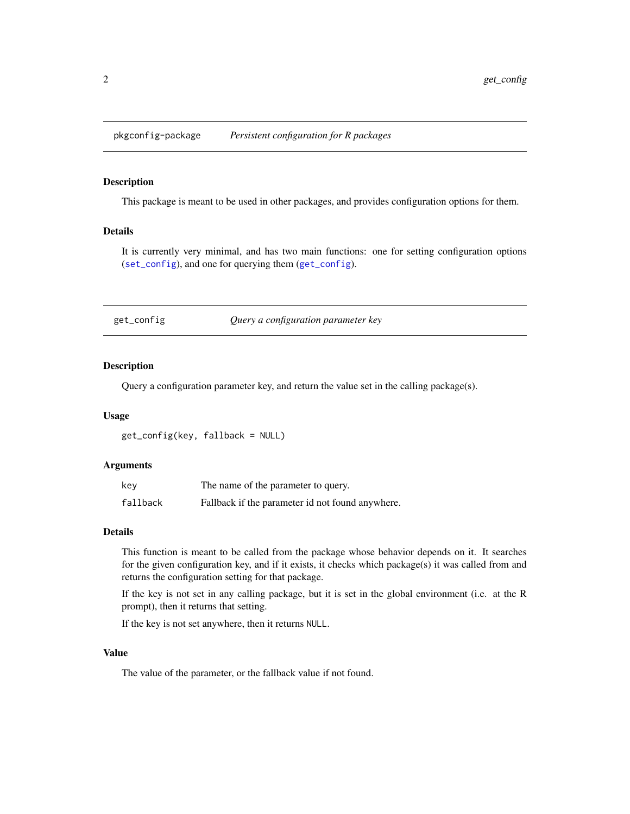<span id="page-1-0"></span>pkgconfig-package *Persistent configuration for R packages*

#### Description

This package is meant to be used in other packages, and provides configuration options for them.

#### Details

It is currently very minimal, and has two main functions: one for setting configuration options ([set\\_config](#page-2-1)), and one for querying them ([get\\_config](#page-1-1)).

<span id="page-1-1"></span>get\_config *Query a configuration parameter key*

#### Description

Query a configuration parameter key, and return the value set in the calling package(s).

#### Usage

get\_config(key, fallback = NULL)

#### Arguments

| key      | The name of the parameter to query.              |
|----------|--------------------------------------------------|
| fallback | Fallback if the parameter id not found anywhere. |

#### Details

This function is meant to be called from the package whose behavior depends on it. It searches for the given configuration key, and if it exists, it checks which package(s) it was called from and returns the configuration setting for that package.

If the key is not set in any calling package, but it is set in the global environment (i.e. at the R prompt), then it returns that setting.

If the key is not set anywhere, then it returns NULL.

#### Value

The value of the parameter, or the fallback value if not found.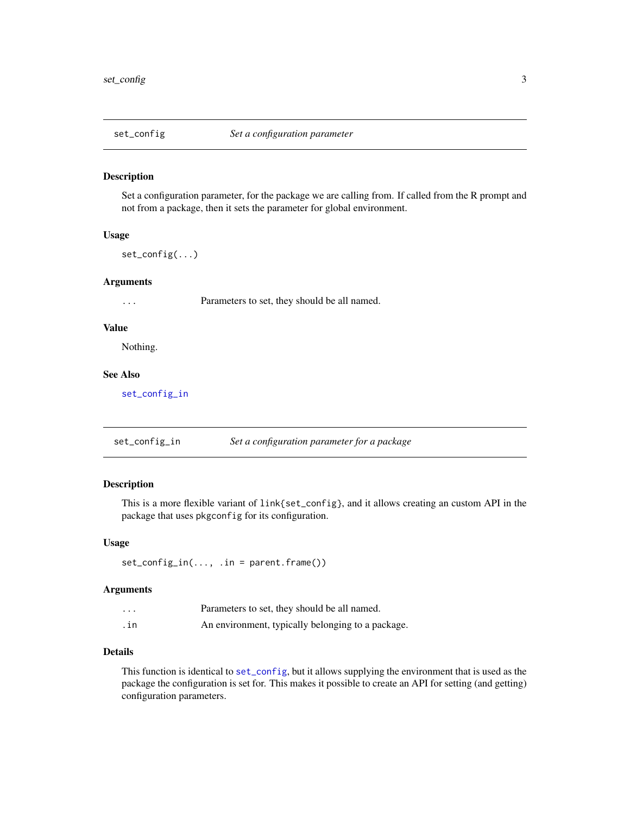<span id="page-2-1"></span><span id="page-2-0"></span>

#### Description

Set a configuration parameter, for the package we are calling from. If called from the R prompt and not from a package, then it sets the parameter for global environment.

#### Usage

set\_config(...)

#### Arguments

... Parameters to set, they should be all named.

#### Value

Nothing.

#### See Also

[set\\_config\\_in](#page-2-2)

<span id="page-2-2"></span>set\_config\_in *Set a configuration parameter for a package*

#### Description

This is a more flexible variant of link{set\_config}, and it allows creating an custom API in the package that uses pkgconfig for its configuration.

#### Usage

 $set_{config_in(..., .in = parent-frame())$ 

#### Arguments

| $\cdots$ | Parameters to set, they should be all named.      |
|----------|---------------------------------------------------|
| .in      | An environment, typically belonging to a package. |

#### Details

This function is identical to [set\\_config](#page-2-1), but it allows supplying the environment that is used as the package the configuration is set for. This makes it possible to create an API for setting (and getting) configuration parameters.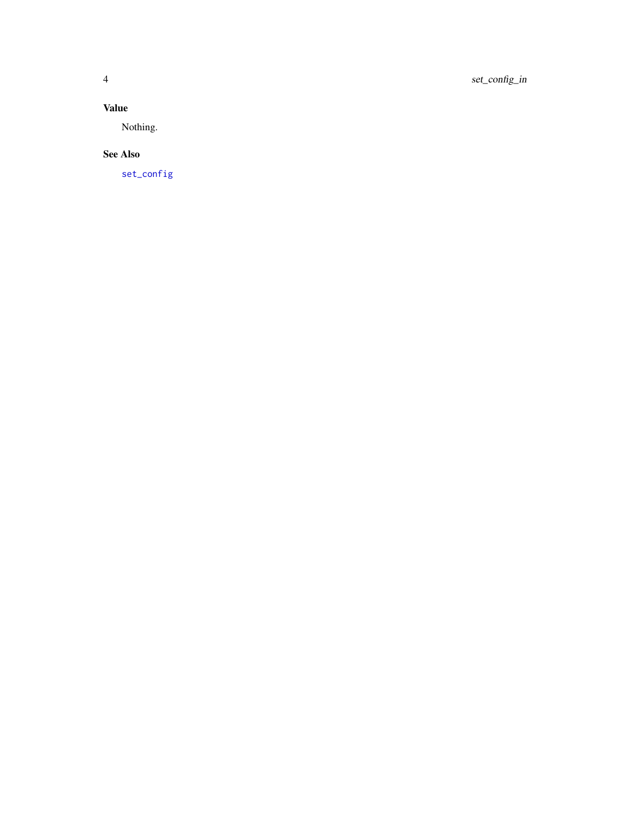#### <span id="page-3-0"></span>Value

Nothing.

#### See Also

[set\\_config](#page-2-1)